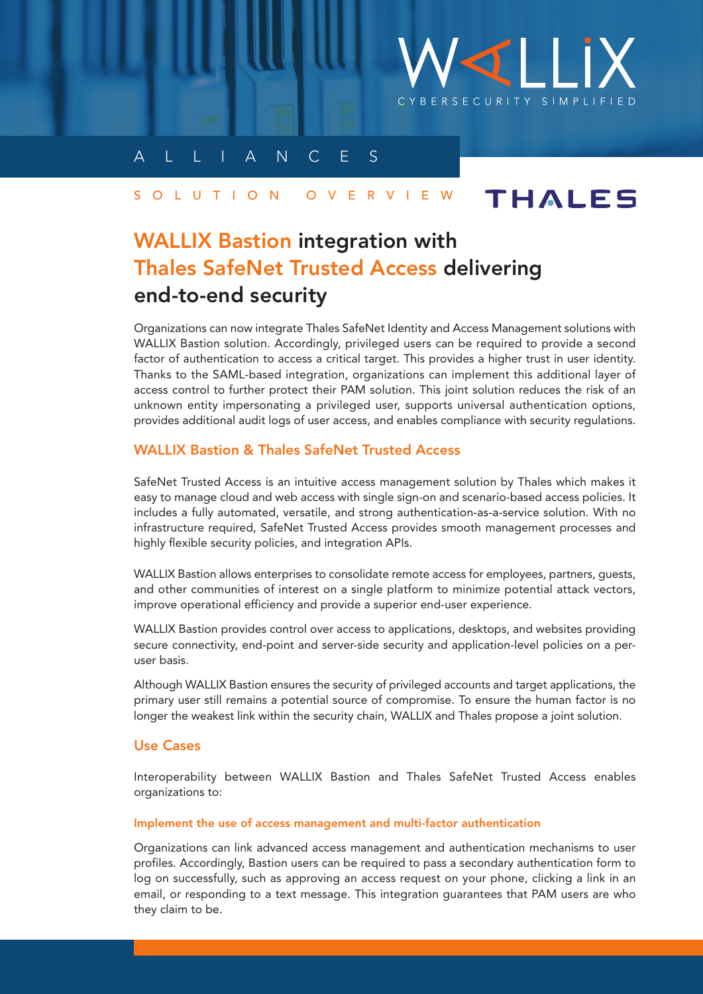

# A L L I A N C E S

#### **THALES** S O L U T I O N O V E R V I E W

# WALLIX Bastion integration with Thales SafeNet Trusted Access delivering end-to-end security

Organizations can now integrate Thales SafeNet Identity and Access Management solutions with WALLIX Bastion solution. Accordingly, privileged users can be required to provide a second factor of authentication to access a critical target. This provides a higher trust in user identity. Thanks to the SAML-based integration, organizations can implement this additional layer of access control to further protect their PAM solution. This joint solution reduces the risk of an unknown entity impersonating a privileged user, supports universal authentication options, provides additional audit logs of user access, and enables compliance with security regulations.

## WALLIX Bastion & Thales SafeNet Trusted Access

SafeNet Trusted Access is an intuitive access management solution by Thales which makes it easy to manage cloud and web access with single sign-on and scenario-based access policies. It includes a fully automated, versatile, and strong authentication-as-a-service solution. With no infrastructure required, SafeNet Trusted Access provides smooth management processes and highly flexible security policies, and integration APIs.

WALLIX Bastion allows enterprises to consolidate remote access for employees, partners, guests, and other communities of interest on a single platform to minimize potential attack vectors, improve operational efficiency and provide a superior end-user experience.

WALLIX Bastion provides control over access to applications, desktops, and websites providing secure connectivity, end-point and server-side security and application-level policies on a peruser basis.

Although WALLIX Bastion ensures the security of privileged accounts and target applications, the primary user still remains a potential source of compromise. To ensure the human factor is no longer the weakest link within the security chain, WALLIX and Thales propose a joint solution.

## Use Cases

Interoperability between WALLIX Bastion and Thales SafeNet Trusted Access enables organizations to:

## Implement the use of access management and multi-factor authentication

Organizations can link advanced access management and authentication mechanisms to user profiles. Accordingly, Bastion users can be required to pass a secondary authentication form to log on successfully, such as approving an access request on your phone, clicking a link in an email, or responding to a text message. This integration guarantees that PAM users are who they claim to be.